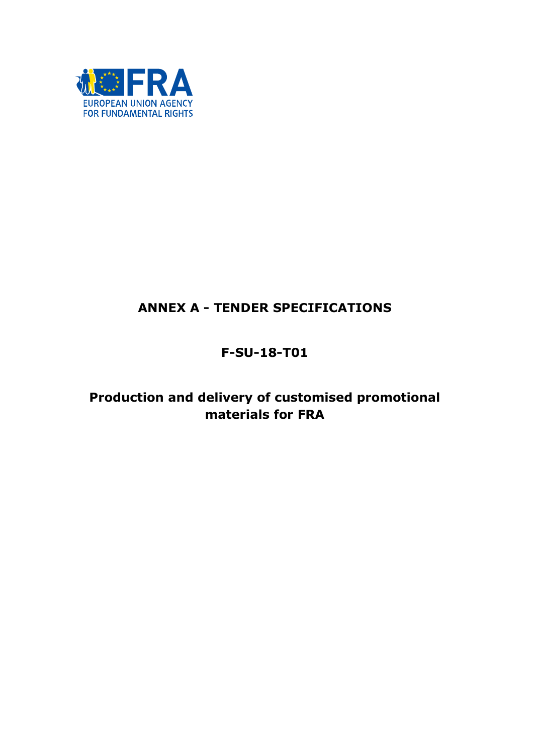

# ANNEX A - TENDER SPECIFICATIONS

# F-SU-18-T01

# Production and delivery of customised promotional materials for FRA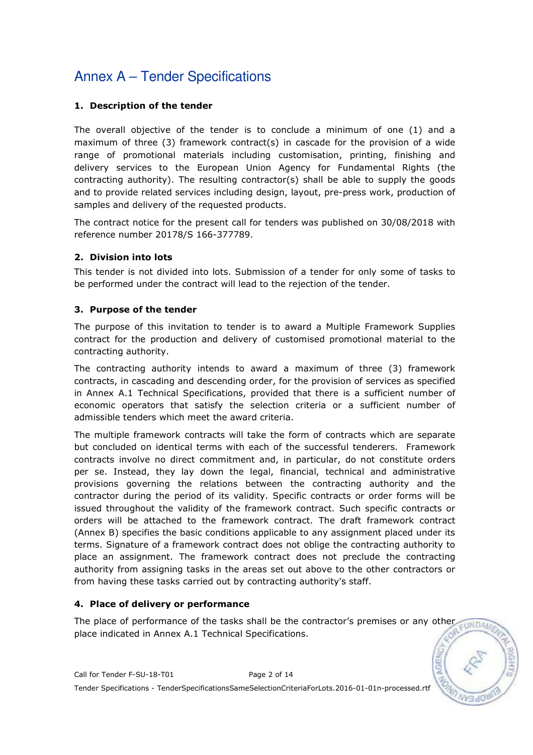### 1. Description of the tender

The overall objective of the tender is to conclude a minimum of one (1) and a maximum of three (3) framework contract(s) in cascade for the provision of a wide range of promotional materials including customisation, printing, finishing and delivery services to the European Union Agency for Fundamental Rights (the contracting authority). The resulting contractor(s) shall be able to supply the goods and to provide related services including design, layout, pre-press work, production of samples and delivery of the requested products.

The contract notice for the present call for tenders was published on 30/08/2018 with reference number 20178/S 166-377789.

### 2. Division into lots

This tender is not divided into lots. Submission of a tender for only some of tasks to be performed under the contract will lead to the rejection of the tender.

#### 3. Purpose of the tender

The purpose of this invitation to tender is to award a Multiple Framework Supplies contract for the production and delivery of customised promotional material to the contracting authority.

The contracting authority intends to award a maximum of three (3) framework contracts, in cascading and descending order, for the provision of services as specified in Annex A.1 Technical Specifications, provided that there is a sufficient number of economic operators that satisfy the selection criteria or a sufficient number of admissible tenders which meet the award criteria.

The multiple framework contracts will take the form of contracts which are separate but concluded on identical terms with each of the successful tenderers. Framework contracts involve no direct commitment and, in particular, do not constitute orders per se. Instead, they lay down the legal, financial, technical and administrative provisions governing the relations between the contracting authority and the contractor during the period of its validity. Specific contracts or order forms will be issued throughout the validity of the framework contract. Such specific contracts or orders will be attached to the framework contract. The draft framework contract (Annex B) specifies the basic conditions applicable to any assignment placed under its terms. Signature of a framework contract does not oblige the contracting authority to place an assignment. The framework contract does not preclude the contracting authority from assigning tasks in the areas set out above to the other contractors or from having these tasks carried out by contracting authority's staff.

### 4. Place of delivery or performance

The place of performance of the tasks shall be the contractor's premises or any other  $\n <sub>WD</sub>\n$ place indicated in Annex A.1 Technical Specifications.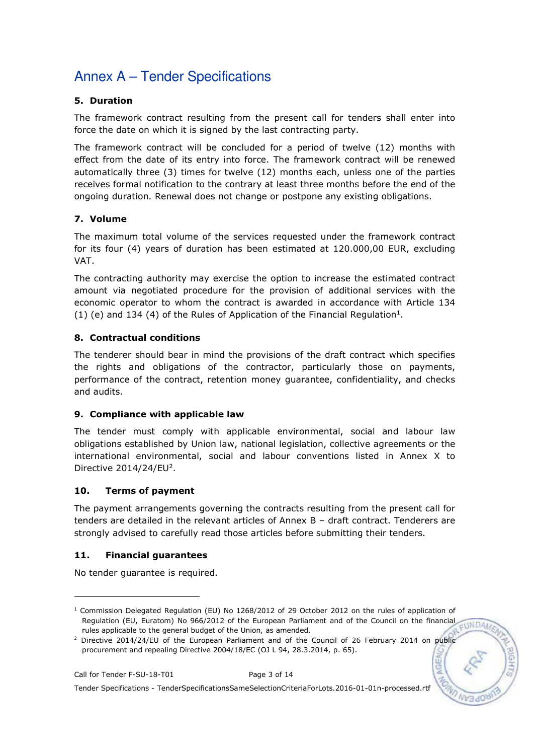## 5. Duration

The framework contract resulting from the present call for tenders shall enter into force the date on which it is signed by the last contracting party.

The framework contract will be concluded for a period of twelve (12) months with effect from the date of its entry into force. The framework contract will be renewed automatically three (3) times for twelve (12) months each, unless one of the parties receives formal notification to the contrary at least three months before the end of the ongoing duration. Renewal does not change or postpone any existing obligations.

### 7. Volume

The maximum total volume of the services requested under the framework contract for its four (4) years of duration has been estimated at 120.000,00 EUR, excluding VAT.

The contracting authority may exercise the option to increase the estimated contract amount via negotiated procedure for the provision of additional services with the economic operator to whom the contract is awarded in accordance with Article 134 (1) (e) and 134 (4) of the Rules of Application of the Financial Regulation<sup>1</sup>.

### 8. Contractual conditions

The tenderer should bear in mind the provisions of the draft contract which specifies the rights and obligations of the contractor, particularly those on payments, performance of the contract, retention money guarantee, confidentiality, and checks and audits.

### 9. Compliance with applicable law

The tender must comply with applicable environmental, social and labour law obligations established by Union law, national legislation, collective agreements or the international environmental, social and labour conventions listed in Annex X to Directive  $2014/24$ /EU<sup>2</sup>.

### 10. Terms of payment

The payment arrangements governing the contracts resulting from the present call for tenders are detailed in the relevant articles of Annex B – draft contract. Tenderers are strongly advised to carefully read those articles before submitting their tenders.

### 11. Financial guarantees

No tender guarantee is required.

-

<sup>1</sup> Commission Delegated Regulation (EU) No 1268/2012 of 29 October 2012 on the rules of application of Regulation (EU, Euratom) No 966/2012 of the European Parliament and of the Council on the financial EUNDAM rules applicable to the general budget of the Union, as amended.

<sup>&</sup>lt;sup>2</sup> Directive 2014/24/EU of the European Parliament and of the Council of 26 February 2014 on public procurement and repealing Directive 2004/18/EC (OJ L 94, 28.3.2014, p. 65).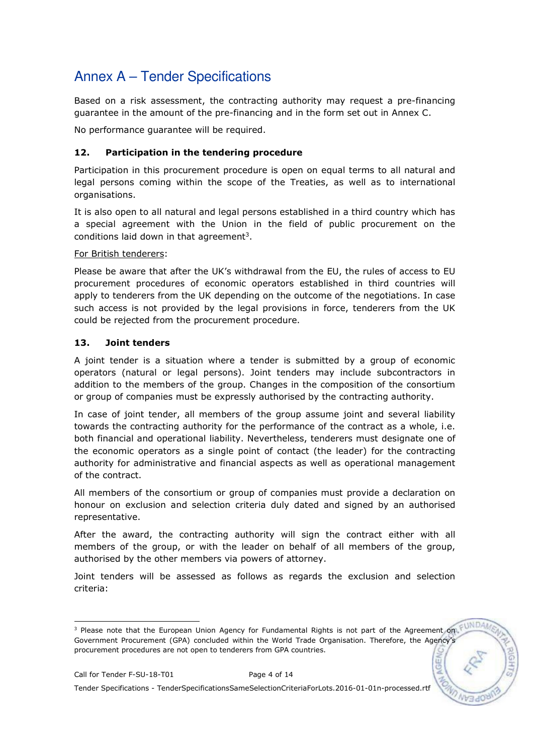Based on a risk assessment, the contracting authority may request a pre-financing guarantee in the amount of the pre-financing and in the form set out in Annex C.

No performance guarantee will be required.

### 12. Participation in the tendering procedure

Participation in this procurement procedure is open on equal terms to all natural and legal persons coming within the scope of the Treaties, as well as to international organisations.

It is also open to all natural and legal persons established in a third country which has a special agreement with the Union in the field of public procurement on the conditions laid down in that agreement<sup>3</sup>.

#### For British tenderers:

Please be aware that after the UK's withdrawal from the EU, the rules of access to EU procurement procedures of economic operators established in third countries will apply to tenderers from the UK depending on the outcome of the negotiations. In case such access is not provided by the legal provisions in force, tenderers from the UK could be rejected from the procurement procedure.

### 13. Joint tenders

A joint tender is a situation where a tender is submitted by a group of economic operators (natural or legal persons). Joint tenders may include subcontractors in addition to the members of the group. Changes in the composition of the consortium or group of companies must be expressly authorised by the contracting authority.

In case of joint tender, all members of the group assume joint and several liability towards the contracting authority for the performance of the contract as a whole, i.e. both financial and operational liability. Nevertheless, tenderers must designate one of the economic operators as a single point of contact (the leader) for the contracting authority for administrative and financial aspects as well as operational management of the contract.

All members of the consortium or group of companies must provide a declaration on honour on exclusion and selection criteria duly dated and signed by an authorised representative.

After the award, the contracting authority will sign the contract either with all members of the group, or with the leader on behalf of all members of the group, authorised by the other members via powers of attorney.

Joint tenders will be assessed as follows as regards the exclusion and selection criteria:

Tender Specifications - TenderSpecificationsSameSelectionCriteriaForLots.2016-01-01n-processed.rtf

 3 Please note that the European Union Agency for Fundamental Rights is not part of the Agreement on Government Procurement (GPA) concluded within the World Trade Organisation. Therefore, the Agency's procurement procedures are not open to tenderers from GPA countries.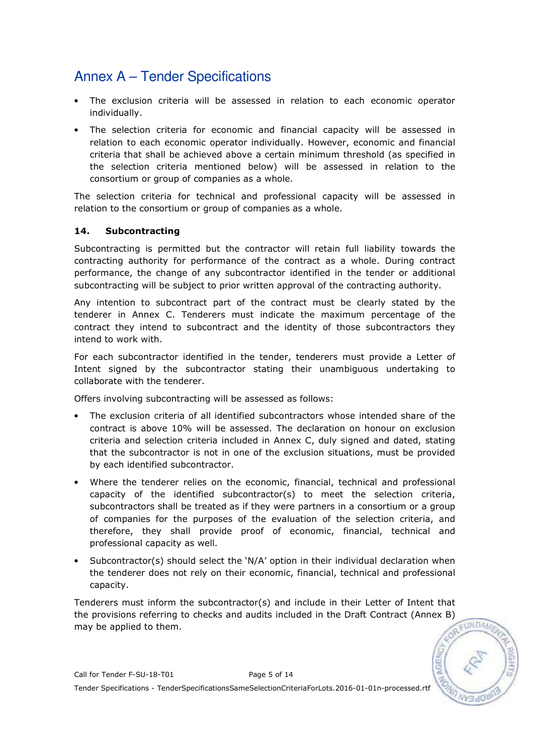- The exclusion criteria will be assessed in relation to each economic operator individually.
- The selection criteria for economic and financial capacity will be assessed in relation to each economic operator individually. However, economic and financial criteria that shall be achieved above a certain minimum threshold (as specified in the selection criteria mentioned below) will be assessed in relation to the consortium or group of companies as a whole.

The selection criteria for technical and professional capacity will be assessed in relation to the consortium or group of companies as a whole.

### 14. Subcontracting

Subcontracting is permitted but the contractor will retain full liability towards the contracting authority for performance of the contract as a whole. During contract performance, the change of any subcontractor identified in the tender or additional subcontracting will be subject to prior written approval of the contracting authority.

Any intention to subcontract part of the contract must be clearly stated by the tenderer in Annex C. Tenderers must indicate the maximum percentage of the contract they intend to subcontract and the identity of those subcontractors they intend to work with.

For each subcontractor identified in the tender, tenderers must provide a Letter of Intent signed by the subcontractor stating their unambiguous undertaking to collaborate with the tenderer.

Offers involving subcontracting will be assessed as follows:

- The exclusion criteria of all identified subcontractors whose intended share of the contract is above 10% will be assessed. The declaration on honour on exclusion criteria and selection criteria included in Annex C, duly signed and dated, stating that the subcontractor is not in one of the exclusion situations, must be provided by each identified subcontractor.
- Where the tenderer relies on the economic, financial, technical and professional capacity of the identified subcontractor(s) to meet the selection criteria, subcontractors shall be treated as if they were partners in a consortium or a group of companies for the purposes of the evaluation of the selection criteria, and therefore, they shall provide proof of economic, financial, technical and professional capacity as well.
- Subcontractor(s) should select the  $N/A'$  option in their individual declaration when the tenderer does not rely on their economic, financial, technical and professional capacity.

Tenderers must inform the subcontractor(s) and include in their Letter of Intent that the provisions referring to checks and audits included in the Draft Contract (Annex B) may be applied to them.

EUNDA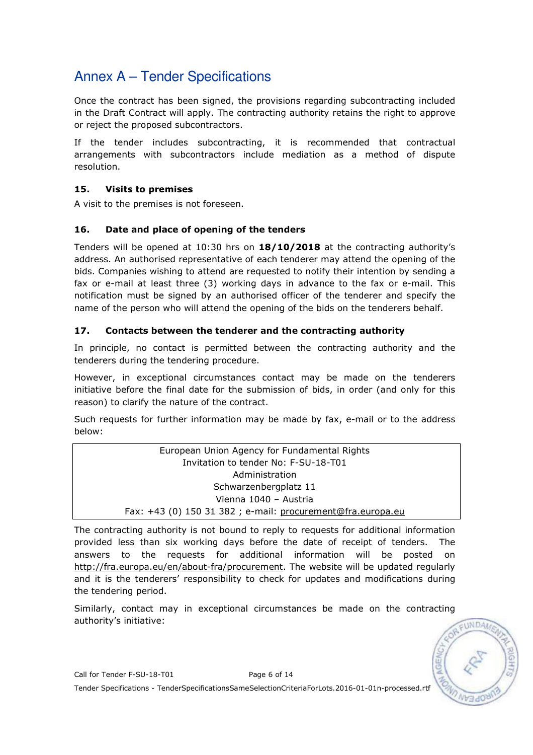Once the contract has been signed, the provisions regarding subcontracting included in the Draft Contract will apply. The contracting authority retains the right to approve or reject the proposed subcontractors.

If the tender includes subcontracting, it is recommended that contractual arrangements with subcontractors include mediation as a method of dispute resolution.

## 15. Visits to premises

A visit to the premises is not foreseen.

### 16. Date and place of opening of the tenders

Tenders will be opened at 10:30 hrs on 18/10/2018 at the contracting authority's address. An authorised representative of each tenderer may attend the opening of the bids. Companies wishing to attend are requested to notify their intention by sending a fax or e-mail at least three (3) working days in advance to the fax or e-mail. This notification must be signed by an authorised officer of the tenderer and specify the name of the person who will attend the opening of the bids on the tenderers behalf.

## 17. Contacts between the tenderer and the contracting authority

In principle, no contact is permitted between the contracting authority and the tenderers during the tendering procedure.

However, in exceptional circumstances contact may be made on the tenderers initiative before the final date for the submission of bids, in order (and only for this reason) to clarify the nature of the contract.

Such requests for further information may be made by fax, e-mail or to the address below:

> European Union Agency for Fundamental Rights Invitation to tender No: F-SU-18-T01 Administration Schwarzenbergplatz 11 Vienna 1040 – Austria Fax: +43 (0) 150 31 382 ; e-mail: procurement@fra.europa.eu

The contracting authority is not bound to reply to requests for additional information provided less than six working days before the date of receipt of tenders. The answers to the requests for additional information will be posted on http://fra.europa.eu/en/about-fra/procurement. The website will be updated regularly and it is the tenderers' responsibility to check for updates and modifications during the tendering period.

Similarly, contact may in exceptional circumstances be made on the contracting authority's initiative:

EUNDA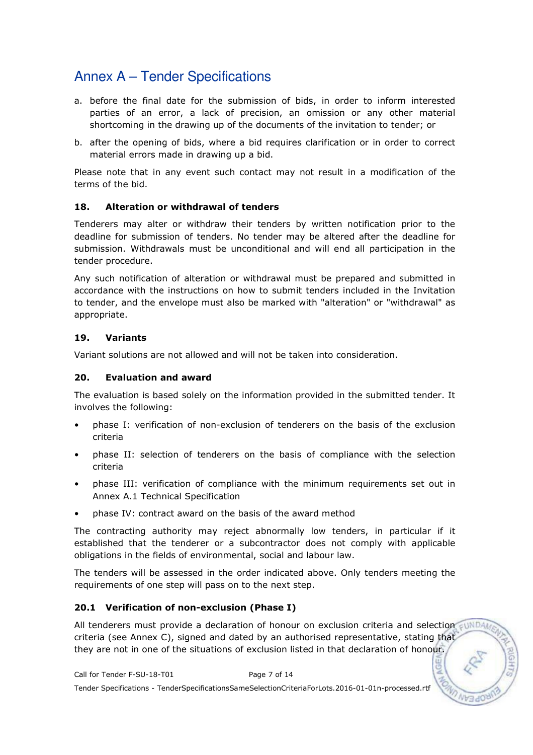- a. before the final date for the submission of bids, in order to inform interested parties of an error, a lack of precision, an omission or any other material shortcoming in the drawing up of the documents of the invitation to tender; or
- b. after the opening of bids, where a bid requires clarification or in order to correct material errors made in drawing up a bid.

Please note that in any event such contact may not result in a modification of the terms of the bid.

#### 18. Alteration or withdrawal of tenders

Tenderers may alter or withdraw their tenders by written notification prior to the deadline for submission of tenders. No tender may be altered after the deadline for submission. Withdrawals must be unconditional and will end all participation in the tender procedure.

Any such notification of alteration or withdrawal must be prepared and submitted in accordance with the instructions on how to submit tenders included in the Invitation to tender, and the envelope must also be marked with "alteration" or "withdrawal" as appropriate.

#### 19. Variants

Variant solutions are not allowed and will not be taken into consideration.

#### 20. Evaluation and award

The evaluation is based solely on the information provided in the submitted tender. It involves the following:

- phase I: verification of non-exclusion of tenderers on the basis of the exclusion criteria
- phase II: selection of tenderers on the basis of compliance with the selection criteria
- phase III: verification of compliance with the minimum requirements set out in Annex A.1 Technical Specification
- phase IV: contract award on the basis of the award method

The contracting authority may reject abnormally low tenders, in particular if it established that the tenderer or a subcontractor does not comply with applicable obligations in the fields of environmental, social and labour law.

The tenders will be assessed in the order indicated above. Only tenders meeting the requirements of one step will pass on to the next step.

### 20.1 Verification of non-exclusion (Phase I)

All tenderers must provide a declaration of honour on exclusion criteria and selection sun DA criteria (see Annex C), signed and dated by an authorised representative, stating that they are not in one of the situations of exclusion listed in that declaration of honour.

Call for Tender F-SU-18-T01 Page 7 of 14 Tender Specifications - TenderSpecificationsSameSelectionCriteriaForLots.2016-01-01n-processed.rtf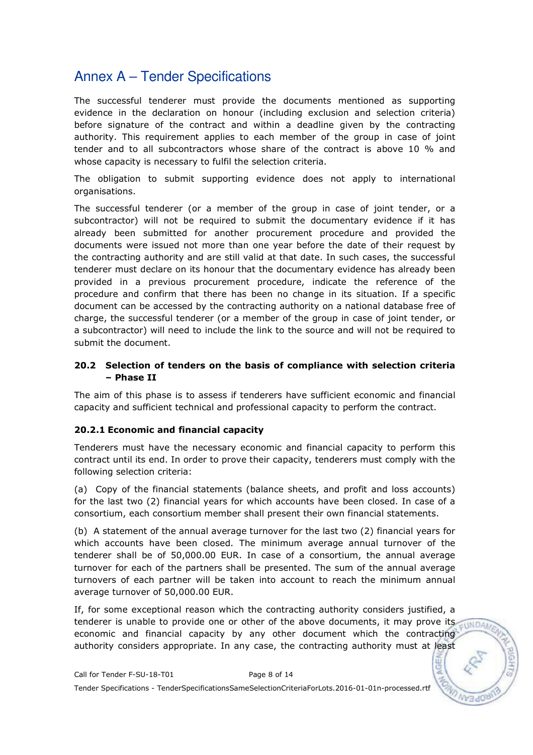The successful tenderer must provide the documents mentioned as supporting evidence in the declaration on honour (including exclusion and selection criteria) before signature of the contract and within a deadline given by the contracting authority. This requirement applies to each member of the group in case of joint tender and to all subcontractors whose share of the contract is above 10 % and whose capacity is necessary to fulfil the selection criteria.

The obligation to submit supporting evidence does not apply to international organisations.

The successful tenderer (or a member of the group in case of joint tender, or a subcontractor) will not be required to submit the documentary evidence if it has already been submitted for another procurement procedure and provided the documents were issued not more than one year before the date of their request by the contracting authority and are still valid at that date. In such cases, the successful tenderer must declare on its honour that the documentary evidence has already been provided in a previous procurement procedure, indicate the reference of the procedure and confirm that there has been no change in its situation. If a specific document can be accessed by the contracting authority on a national database free of charge, the successful tenderer (or a member of the group in case of joint tender, or a subcontractor) will need to include the link to the source and will not be required to submit the document.

#### 20.2 Selection of tenders on the basis of compliance with selection criteria – Phase II

The aim of this phase is to assess if tenderers have sufficient economic and financial capacity and sufficient technical and professional capacity to perform the contract.

### 20.2.1 Economic and financial capacity

Tenderers must have the necessary economic and financial capacity to perform this contract until its end. In order to prove their capacity, tenderers must comply with the following selection criteria:

(a) Copy of the financial statements (balance sheets, and profit and loss accounts) for the last two (2) financial years for which accounts have been closed. In case of a consortium, each consortium member shall present their own financial statements.

(b) A statement of the annual average turnover for the last two (2) financial years for which accounts have been closed. The minimum average annual turnover of the tenderer shall be of 50,000.00 EUR. In case of a consortium, the annual average turnover for each of the partners shall be presented. The sum of the annual average turnovers of each partner will be taken into account to reach the minimum annual average turnover of 50,000.00 EUR.

If, for some exceptional reason which the contracting authority considers justified, a tenderer is unable to provide one or other of the above documents, it may prove its economic and financial capacity by any other document which the contracting authority considers appropriate. In any case, the contracting authority must at least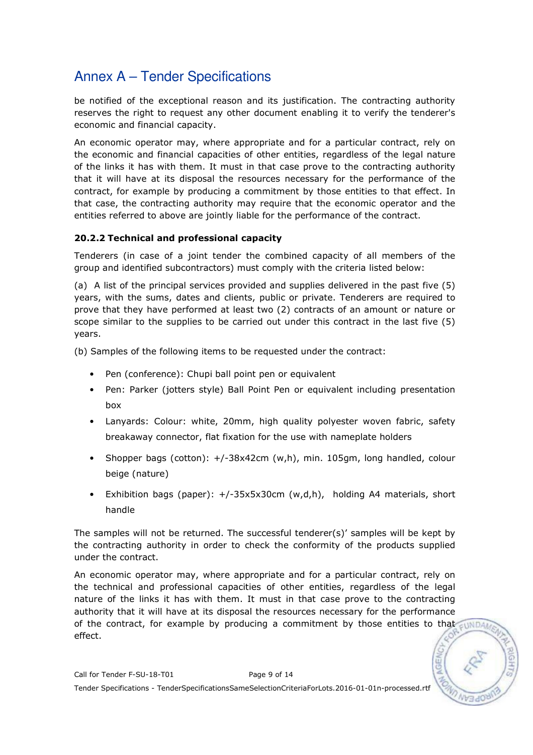be notified of the exceptional reason and its justification. The contracting authority reserves the right to request any other document enabling it to verify the tenderer's economic and financial capacity.

An economic operator may, where appropriate and for a particular contract, rely on the economic and financial capacities of other entities, regardless of the legal nature of the links it has with them. It must in that case prove to the contracting authority that it will have at its disposal the resources necessary for the performance of the contract, for example by producing a commitment by those entities to that effect. In that case, the contracting authority may require that the economic operator and the entities referred to above are jointly liable for the performance of the contract.

### 20.2.2 Technical and professional capacity

Tenderers (in case of a joint tender the combined capacity of all members of the group and identified subcontractors) must comply with the criteria listed below:

(a) A list of the principal services provided and supplies delivered in the past five (5) years, with the sums, dates and clients, public or private. Tenderers are required to prove that they have performed at least two (2) contracts of an amount or nature or scope similar to the supplies to be carried out under this contract in the last five (5) years.

(b) Samples of the following items to be requested under the contract:

- Pen (conference): Chupi ball point pen or equivalent
- Pen: Parker (jotters style) Ball Point Pen or equivalent including presentation box
- Lanyards: Colour: white, 20mm, high quality polyester woven fabric, safety breakaway connector, flat fixation for the use with nameplate holders
- Shopper bags (cotton): +/-38x42cm (w,h), min. 105gm, long handled, colour beige (nature)
- Exhibition bags (paper): +/-35x5x30cm (w,d,h), holding A4 materials, short handle

The samples will not be returned. The successful tenderer(s)' samples will be kept by the contracting authority in order to check the conformity of the products supplied under the contract.

An economic operator may, where appropriate and for a particular contract, rely on the technical and professional capacities of other entities, regardless of the legal nature of the links it has with them. It must in that case prove to the contracting authority that it will have at its disposal the resources necessary for the performance of the contract, for example by producing a commitment by those entities to that  $\epsilon_{\rm UNDAM}$ effect.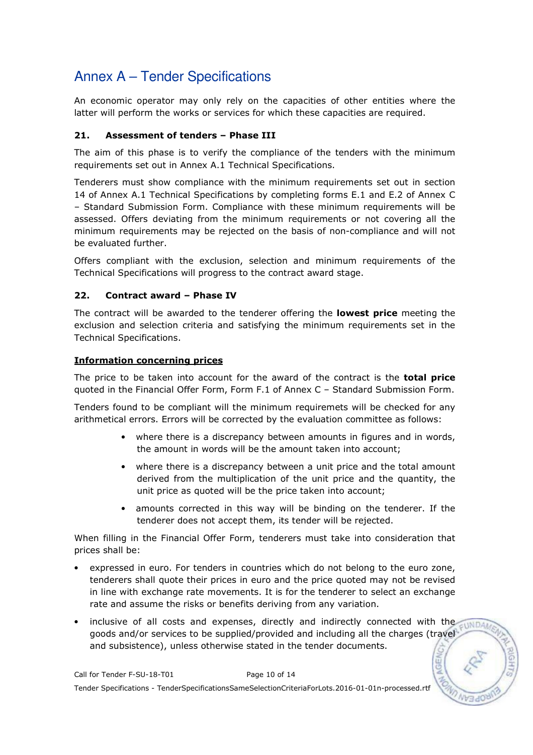An economic operator may only rely on the capacities of other entities where the latter will perform the works or services for which these capacities are required.

### 21. Assessment of tenders – Phase III

The aim of this phase is to verify the compliance of the tenders with the minimum requirements set out in Annex A.1 Technical Specifications.

Tenderers must show compliance with the minimum requirements set out in section 14 of Annex A.1 Technical Specifications by completing forms E.1 and E.2 of Annex C – Standard Submission Form. Compliance with these minimum requirements will be assessed. Offers deviating from the minimum requirements or not covering all the minimum requirements may be rejected on the basis of non-compliance and will not be evaluated further.

Offers compliant with the exclusion, selection and minimum requirements of the Technical Specifications will progress to the contract award stage.

### 22. Contract award – Phase IV

The contract will be awarded to the tenderer offering the lowest price meeting the exclusion and selection criteria and satisfying the minimum requirements set in the Technical Specifications.

### Information concerning prices

The price to be taken into account for the award of the contract is the **total price** quoted in the Financial Offer Form, Form F.1 of Annex C – Standard Submission Form.

Tenders found to be compliant will the minimum requiremets will be checked for any arithmetical errors. Errors will be corrected by the evaluation committee as follows:

- where there is a discrepancy between amounts in figures and in words, the amount in words will be the amount taken into account;
- where there is a discrepancy between a unit price and the total amount derived from the multiplication of the unit price and the quantity, the unit price as quoted will be the price taken into account;
- amounts corrected in this way will be binding on the tenderer. If the tenderer does not accept them, its tender will be rejected.

When filling in the Financial Offer Form, tenderers must take into consideration that prices shall be:

- expressed in euro. For tenders in countries which do not belong to the euro zone, tenderers shall quote their prices in euro and the price quoted may not be revised in line with exchange rate movements. It is for the tenderer to select an exchange rate and assume the risks or benefits deriving from any variation.
- inclusive of all costs and expenses, directly and indirectly connected with the  $-1$ INDA goods and/or services to be supplied/provided and including all the charges (travel and subsistence), unless otherwise stated in the tender documents.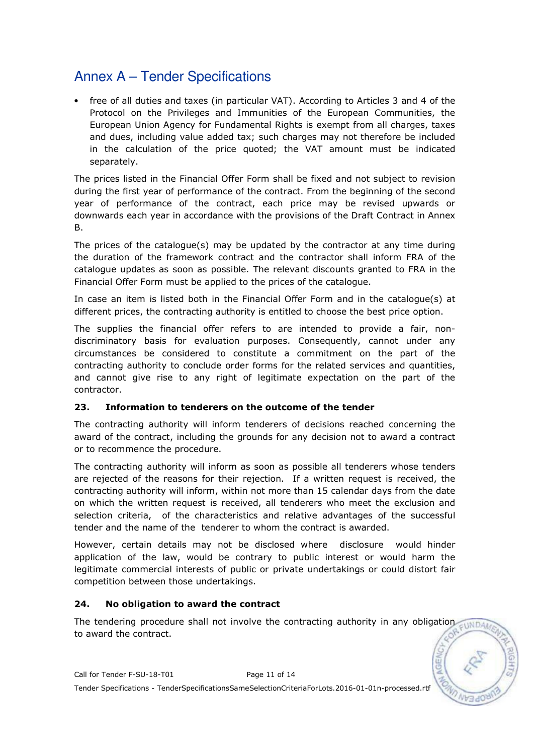• free of all duties and taxes (in particular VAT). According to Articles 3 and 4 of the Protocol on the Privileges and Immunities of the European Communities, the European Union Agency for Fundamental Rights is exempt from all charges, taxes and dues, including value added tax; such charges may not therefore be included in the calculation of the price quoted; the VAT amount must be indicated separately.

The prices listed in the Financial Offer Form shall be fixed and not subject to revision during the first year of performance of the contract. From the beginning of the second year of performance of the contract, each price may be revised upwards or downwards each year in accordance with the provisions of the Draft Contract in Annex B.

The prices of the catalogue(s) may be updated by the contractor at any time during the duration of the framework contract and the contractor shall inform FRA of the catalogue updates as soon as possible. The relevant discounts granted to FRA in the Financial Offer Form must be applied to the prices of the catalogue.

In case an item is listed both in the Financial Offer Form and in the catalogue(s) at different prices, the contracting authority is entitled to choose the best price option.

The supplies the financial offer refers to are intended to provide a fair, nondiscriminatory basis for evaluation purposes. Consequently, cannot under any circumstances be considered to constitute a commitment on the part of the contracting authority to conclude order forms for the related services and quantities, and cannot give rise to any right of legitimate expectation on the part of the contractor.

### 23. Information to tenderers on the outcome of the tender

The contracting authority will inform tenderers of decisions reached concerning the award of the contract, including the grounds for any decision not to award a contract or to recommence the procedure.

The contracting authority will inform as soon as possible all tenderers whose tenders are rejected of the reasons for their rejection. If a written request is received, the contracting authority will inform, within not more than 15 calendar days from the date on which the written request is received, all tenderers who meet the exclusion and selection criteria, of the characteristics and relative advantages of the successful tender and the name of the tenderer to whom the contract is awarded.

However, certain details may not be disclosed where disclosure would hinder application of the law, would be contrary to public interest or would harm the legitimate commercial interests of public or private undertakings or could distort fair competition between those undertakings.

#### 24. No obligation to award the contract

The tendering procedure shall not involve the contracting authority in any obligation  $\n <sub>WD</sub>\n$ to award the contract.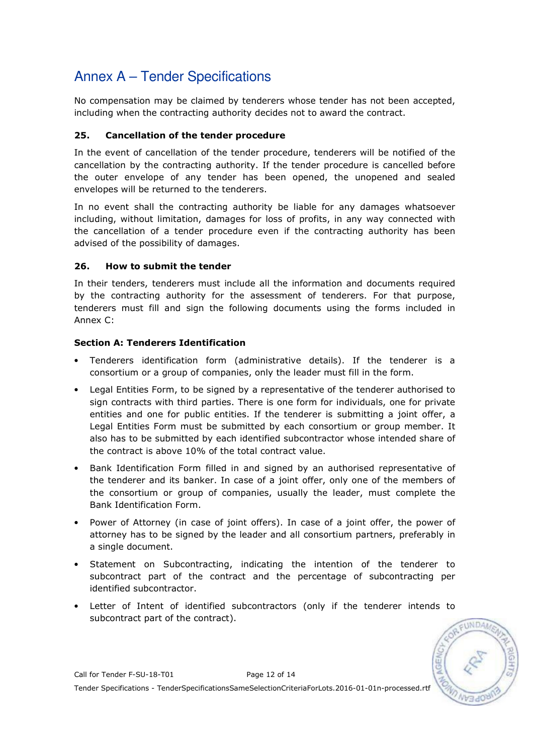No compensation may be claimed by tenderers whose tender has not been accepted, including when the contracting authority decides not to award the contract.

### 25. Cancellation of the tender procedure

In the event of cancellation of the tender procedure, tenderers will be notified of the cancellation by the contracting authority. If the tender procedure is cancelled before the outer envelope of any tender has been opened, the unopened and sealed envelopes will be returned to the tenderers.

In no event shall the contracting authority be liable for any damages whatsoever including, without limitation, damages for loss of profits, in any way connected with the cancellation of a tender procedure even if the contracting authority has been advised of the possibility of damages.

### 26. How to submit the tender

In their tenders, tenderers must include all the information and documents required by the contracting authority for the assessment of tenderers. For that purpose, tenderers must fill and sign the following documents using the forms included in Annex C:

### Section A: Tenderers Identification

- Tenderers identification form (administrative details). If the tenderer is a consortium or a group of companies, only the leader must fill in the form.
- Legal Entities Form, to be signed by a representative of the tenderer authorised to sign contracts with third parties. There is one form for individuals, one for private entities and one for public entities. If the tenderer is submitting a joint offer, a Legal Entities Form must be submitted by each consortium or group member. It also has to be submitted by each identified subcontractor whose intended share of the contract is above 10% of the total contract value.
- Bank Identification Form filled in and signed by an authorised representative of the tenderer and its banker. In case of a joint offer, only one of the members of the consortium or group of companies, usually the leader, must complete the Bank Identification Form.
- Power of Attorney (in case of joint offers). In case of a joint offer, the power of attorney has to be signed by the leader and all consortium partners, preferably in a single document.
- Statement on Subcontracting, indicating the intention of the tenderer to subcontract part of the contract and the percentage of subcontracting per identified subcontractor.
- Letter of Intent of identified subcontractors (only if the tenderer intends to subcontract part of the contract).



Call for Tender F-SU-18-T01 Page 12 of 14 Tender Specifications - TenderSpecificationsSameSelectionCriteriaForLots.2016-01-01n-processed.rtf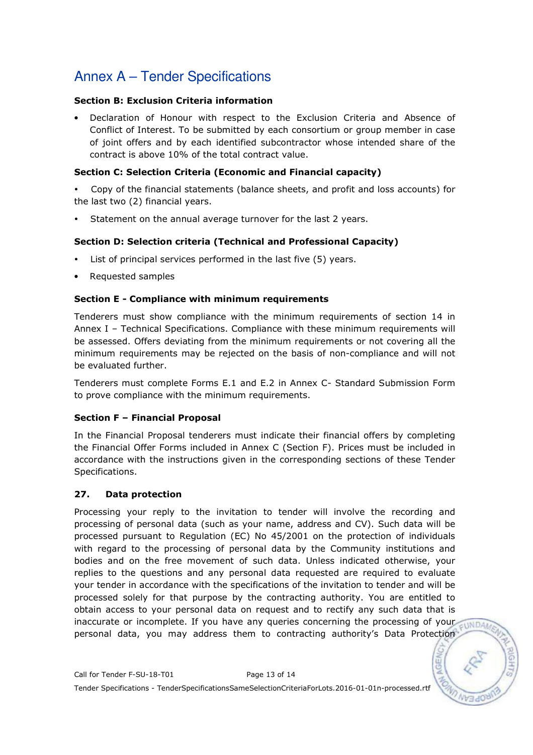### Section B: Exclusion Criteria information

• Declaration of Honour with respect to the Exclusion Criteria and Absence of Conflict of Interest. To be submitted by each consortium or group member in case of joint offers and by each identified subcontractor whose intended share of the contract is above 10% of the total contract value.

### Section C: Selection Criteria (Economic and Financial capacity)

- Copy of the financial statements (balance sheets, and profit and loss accounts) for the last two (2) financial years.
- Statement on the annual average turnover for the last 2 years.

### Section D: Selection criteria (Technical and Professional Capacity)

- List of principal services performed in the last five (5) years.
- Requested samples

### Section E - Compliance with minimum requirements

Tenderers must show compliance with the minimum requirements of section 14 in Annex I – Technical Specifications. Compliance with these minimum requirements will be assessed. Offers deviating from the minimum requirements or not covering all the minimum requirements may be rejected on the basis of non-compliance and will not be evaluated further.

Tenderers must complete Forms E.1 and E.2 in Annex C- Standard Submission Form to prove compliance with the minimum requirements.

### Section F – Financial Proposal

In the Financial Proposal tenderers must indicate their financial offers by completing the Financial Offer Forms included in Annex C (Section F). Prices must be included in accordance with the instructions given in the corresponding sections of these Tender Specifications.

### 27. Data protection

Processing your reply to the invitation to tender will involve the recording and processing of personal data (such as your name, address and CV). Such data will be processed pursuant to Regulation (EC) No 45/2001 on the protection of individuals with regard to the processing of personal data by the Community institutions and bodies and on the free movement of such data. Unless indicated otherwise, your replies to the questions and any personal data requested are required to evaluate your tender in accordance with the specifications of the invitation to tender and will be processed solely for that purpose by the contracting authority. You are entitled to obtain access to your personal data on request and to rectify any such data that is inaccurate or incomplete. If you have any queries concerning the processing of your personal data, you may address them to contracting authority's Data Protection